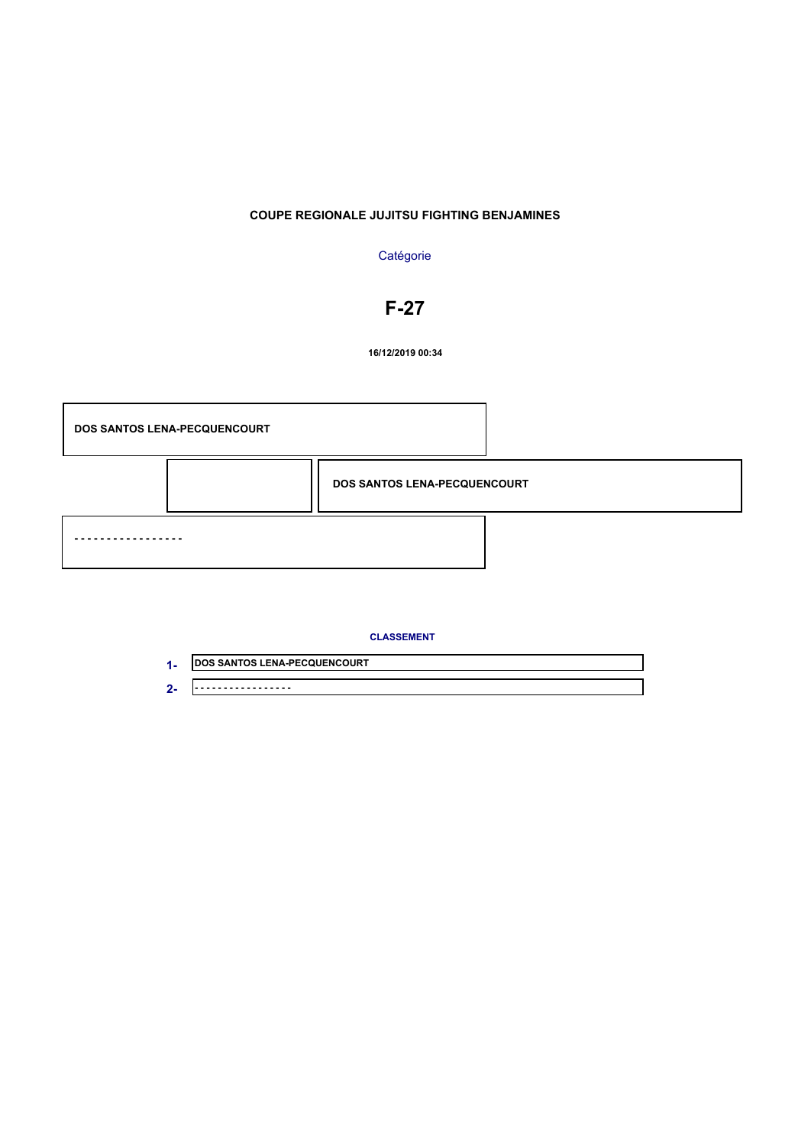### **Catégorie**

# **F-27**

**16/12/2019 00:34**



| <b>JDOS SANTOS LENA-PECQUENCOURT</b> |
|--------------------------------------|
| .                                    |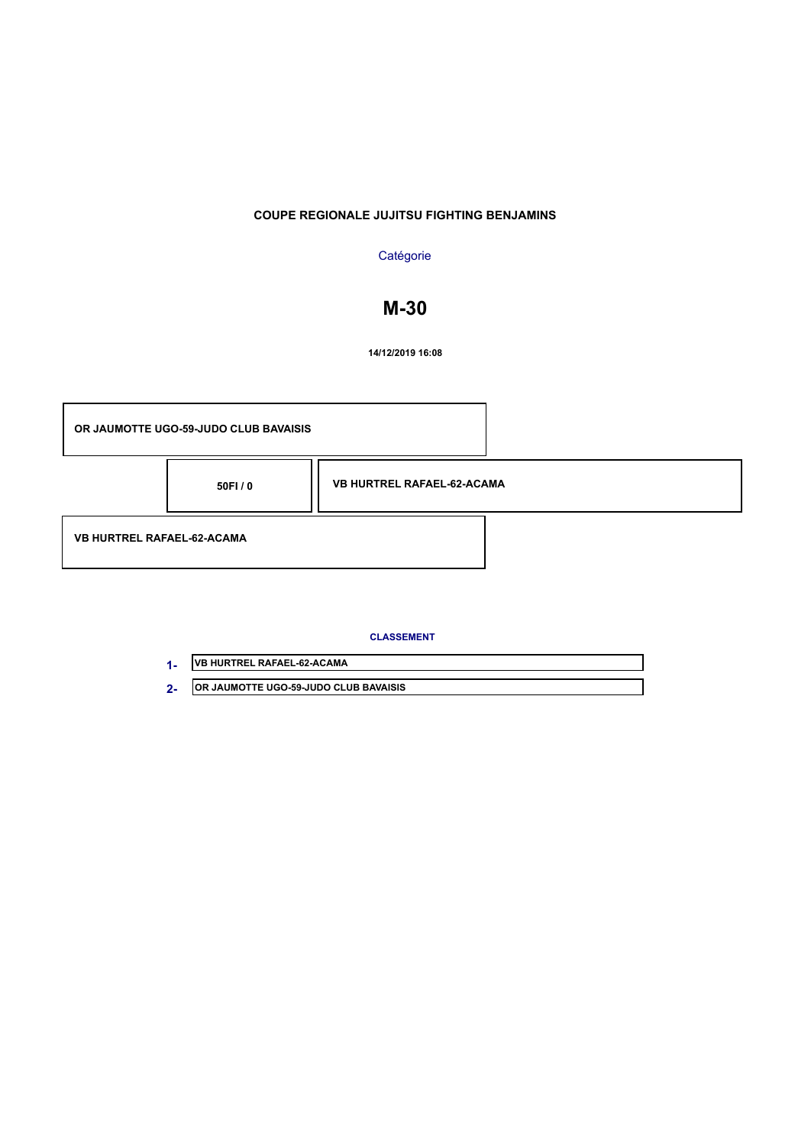### **Catégorie**

# **M-30**

**14/12/2019 16:08**



| <b>IVB HURTREL RAFAEL-62-ACAMA</b>            |
|-----------------------------------------------|
| <b>JOR JAUMOTTE UGO-59-JUDO CLUB BAVAISIS</b> |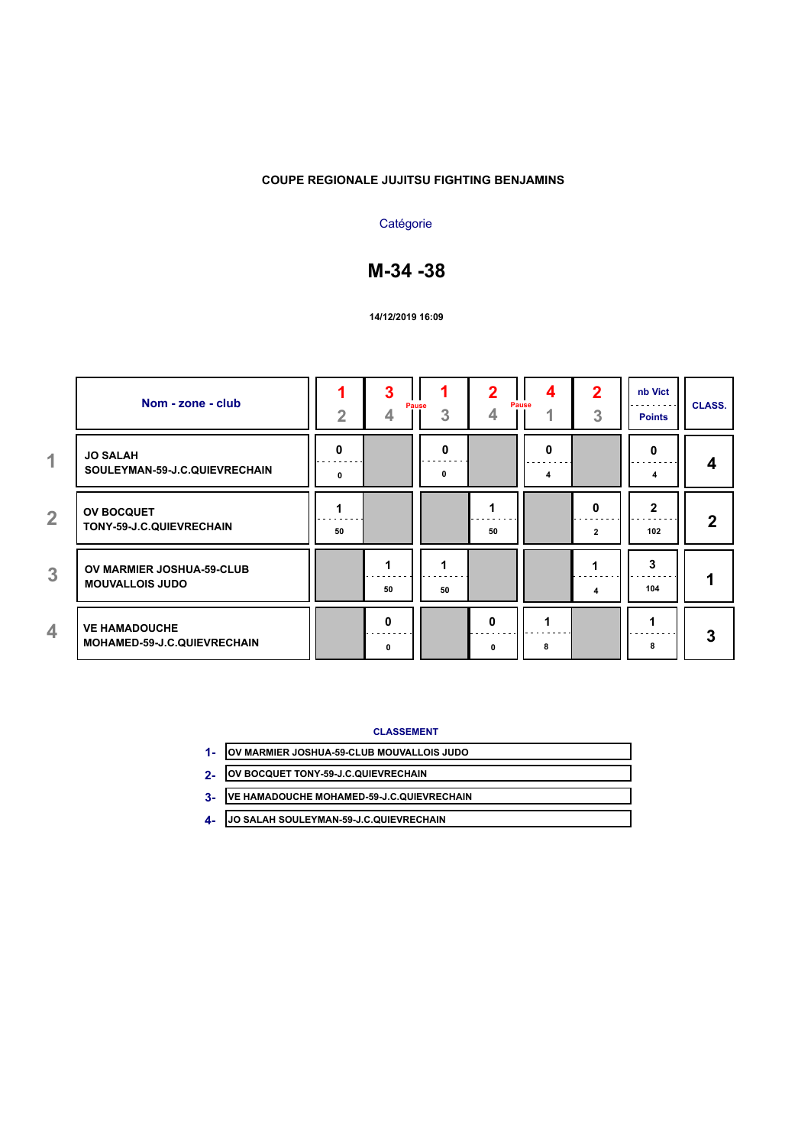### **Catégorie**

# **M-34 -38**

#### **14/12/2019 16:09**

|                | Nom - zone - club                                   | $\overline{2}$ | 3                 | Pause<br>3 | 2<br>4        | 4<br>Pause<br>и | 2<br>3            | nb Vict<br><b>Points</b> | <b>CLASS.</b> |
|----------------|-----------------------------------------------------|----------------|-------------------|------------|---------------|-----------------|-------------------|--------------------------|---------------|
| $\overline{1}$ | <b>JO SALAH</b><br>SOULEYMAN-59-J.C.QUIEVRECHAIN    | 0<br>0         |                   | 0<br>0     |               | 0<br>4          |                   | 0<br>4                   | 4             |
| $\overline{2}$ | <b>OV BOCQUET</b><br>TONY-59-J.C.QUIEVRECHAIN       | 50             |                   |            | 50            |                 | 0<br>$\mathbf{2}$ | $\mathbf{2}$<br>102      | $\mathbf{2}$  |
| 3              | OV MARMIER JOSHUA-59-CLUB<br><b>MOUVALLOIS JUDO</b> |                | 50                | 50         |               |                 | 4                 | 3<br>104                 |               |
| 4              | <b>VE HAMADOUCHE</b><br>MOHAMED-59-J.C.QUIEVRECHAIN |                | $\mathbf{0}$<br>0 |            | $\Omega$<br>0 | 8               |                   | 8                        | 3             |

- **OV MARMIER JOSHUA-59-CLUB MOUVALLOIS JUDO 1-**
- **OV BOCQUET TONY-59-J.C.QUIEVRECHAIN 2-**
- **VE HAMADOUCHE MOHAMED-59-J.C.QUIEVRECHAIN 3-**
- **JO SALAH SOULEYMAN-59-J.C.QUIEVRECHAIN 4-**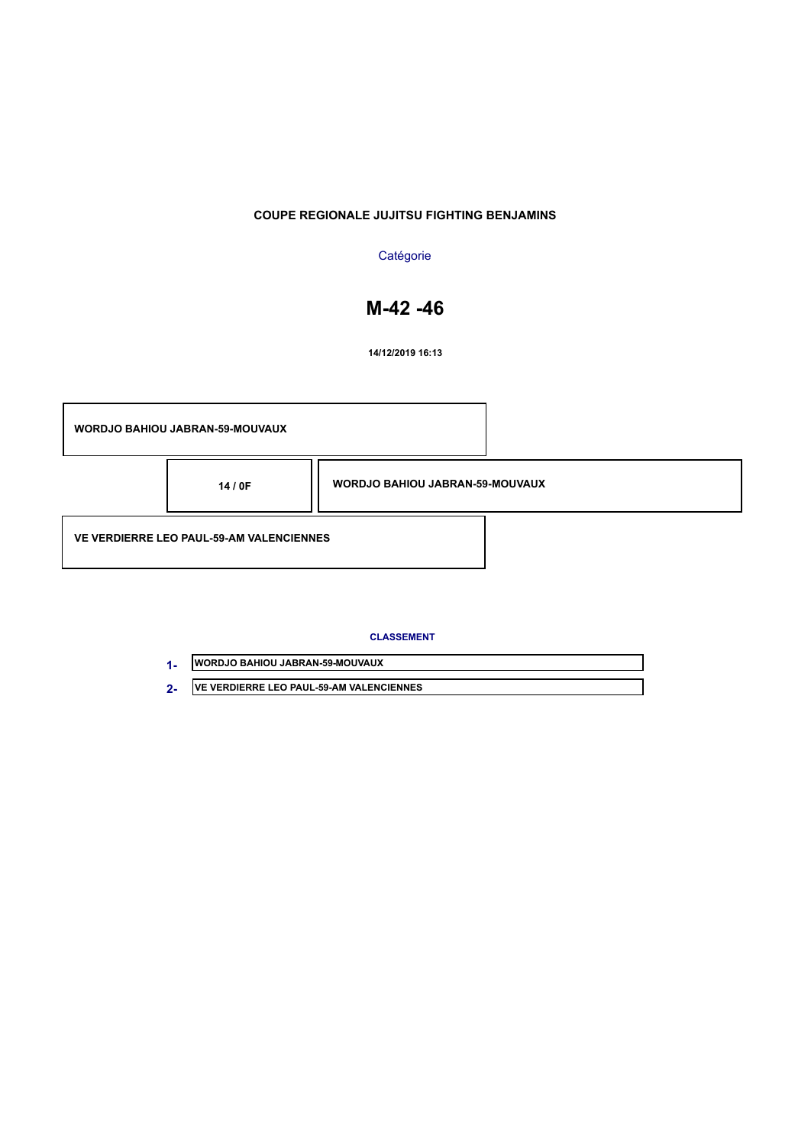## **Catégorie**

# **M-42 -46**

**14/12/2019 16:13**

| <b>WORDJO BAHIOU JABRAN-59-MOUVAUX</b>          |                                        |  |  |
|-------------------------------------------------|----------------------------------------|--|--|
| 14/0F                                           | <b>WORDJO BAHIOU JABRAN-59-MOUVAUX</b> |  |  |
| <b>VE VERDIERRE LEO PAUL-59-AM VALENCIENNES</b> |                                        |  |  |

| <b>IWORDJO BAHIOU JABRAN-59-MOUVAUX</b>  |
|------------------------------------------|
| VE VERDIERRE LEO PAUL-59-AM VALENCIENNES |